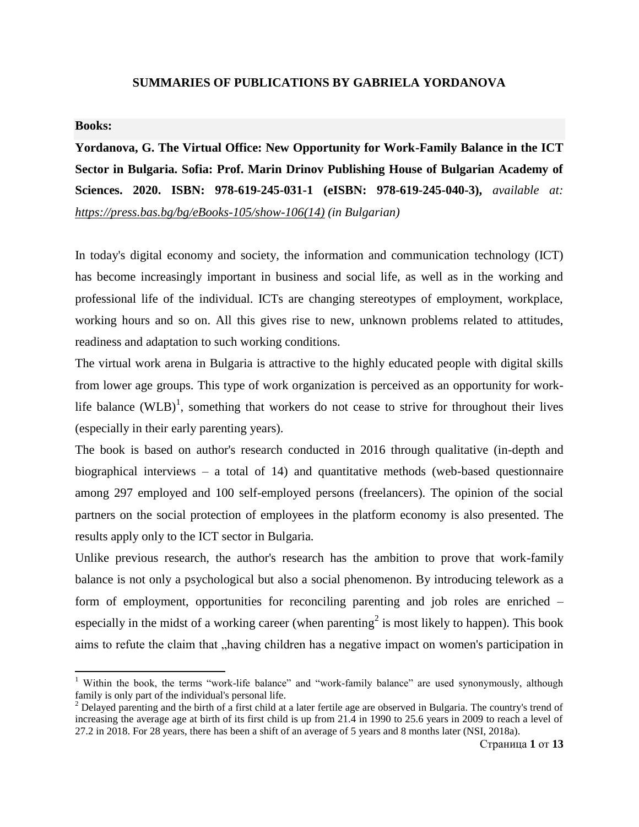#### **SUMMARIES OF PUBLICATIONS BY GABRIELA YORDANOVA**

#### **Books:**

 $\overline{\phantom{a}}$ 

**Yordanova, G. The Virtual Office: New Opportunity for Work-Family Balance in the ICT Sector in Bulgaria. Sofia: Prof. Marin Drinov Publishing House of Bulgarian Academy of Sciences. 2020. ISBN: 978-619-245-031-1 (eISBN: 978-619-245-040-3),** *available at: [https://press.bas.bg/bg/eBooks-105/show-106\(14\)](https://press.bas.bg/bg/eBooks-105/show-106(14)) (in Bulgarian)*

In today's digital economy and society, the information and communication technology (ICT) has become increasingly important in business and social life, as well as in the working and professional life of the individual. ICTs are changing stereotypes of employment, workplace, working hours and so on. All this gives rise to new, unknown problems related to attitudes, readiness and adaptation to such working conditions.

The virtual work arena in Bulgaria is attractive to the highly educated people with digital skills from lower age groups. This type of work organization is perceived as an opportunity for worklife balance  $(WLB)^1$ , something that workers do not cease to strive for throughout their lives (especially in their early parenting years).

The book is based on author's research conducted in 2016 through qualitative (in-depth and biographical interviews – a total of 14) and quantitative methods (web-based questionnaire among 297 employed and 100 self-employed persons (freelancers). The opinion of the social partners on the social protection of employees in the platform economy is also presented. The results apply only to the ICT sector in Bulgaria.

Unlike previous research, the author's research has the ambition to prove that work-family balance is not only a psychological but also a social phenomenon. By introducing telework as a form of employment, opportunities for reconciling parenting and job roles are enriched – especially in the midst of a working career (when parenting<sup>2</sup> is most likely to happen). This book aims to refute the claim that "having children has a negative impact on women's participation in

<sup>&</sup>lt;sup>1</sup> Within the book, the terms "work-life balance" and "work-family balance" are used synonymously, although family is only part of the individual's personal life.

 $2$  Delayed parenting and the birth of a first child at a later fertile age are observed in Bulgaria. The country's trend of increasing the average age at birth of its first child is up from 21.4 in 1990 to 25.6 years in 2009 to reach a level of 27.2 in 2018. For 28 years, there has been a shift of an average of 5 years and 8 months later (NSI, 2018a).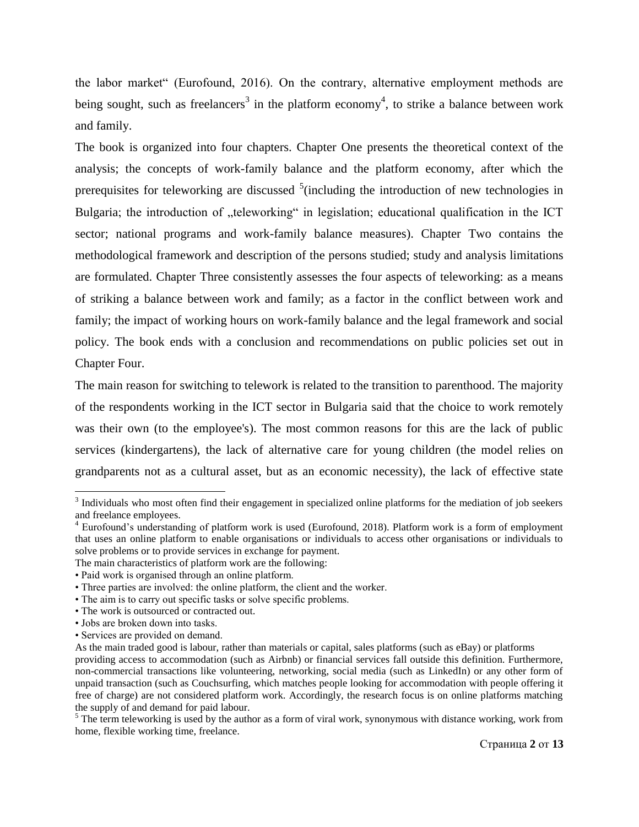the labor market" (Eurofound, 2016). On the contrary, alternative employment methods are being sought, such as freelancers<sup>3</sup> in the platform economy<sup>4</sup>, to strike a balance between work and family.

The book is organized into four chapters. Chapter One presents the theoretical context of the analysis; the concepts of work-family balance and the platform economy, after which the prerequisites for teleworking are discussed  $5$  (including the introduction of new technologies in Bulgaria; the introduction of "teleworking" in legislation; educational qualification in the ICT sector; national programs and work-family balance measures). Chapter Two contains the methodological framework and description of the persons studied; study and analysis limitations are formulated. Chapter Three consistently assesses the four aspects of teleworking: as a means of striking a balance between work and family; as a factor in the conflict between work and family; the impact of working hours on work-family balance and the legal framework and social policy. The book ends with a conclusion and recommendations on public policies set out in Chapter Four.

The main reason for switching to telework is related to the transition to parenthood. The majority of the respondents working in the ICT sector in Bulgaria said that the choice to work remotely was their own (to the employee's). The most common reasons for this are the lack of public services (kindergartens), the lack of alternative care for young children (the model relies on grandparents not as a cultural asset, but as an economic necessity), the lack of effective state

 $\overline{\phantom{a}}$ 

 $3$  Individuals who most often find their engagement in specialized online platforms for the mediation of job seekers and freelance employees.

<sup>&</sup>lt;sup>4</sup> Eurofound's understanding of platform work is used (Eurofound, 2018). Platform work is a form of employment that uses an online platform to enable organisations or individuals to access other organisations or individuals to solve problems or to provide services in exchange for payment.

The main characteristics of platform work are the following:

<sup>•</sup> Paid work is organised through an online platform.

<sup>•</sup> Three parties are involved: the online platform, the client and the worker.

<sup>•</sup> The aim is to carry out specific tasks or solve specific problems.

<sup>•</sup> The work is outsourced or contracted out.

<sup>•</sup> Jobs are broken down into tasks.

<sup>•</sup> Services are provided on demand.

As the main traded good is labour, rather than materials or capital, sales platforms (such as eBay) or platforms providing access to accommodation (such as Airbnb) or financial services fall outside this definition. Furthermore, non-commercial transactions like volunteering, networking, social media (such as LinkedIn) or any other form of unpaid transaction (such as Couchsurfing, which matches people looking for accommodation with people offering it free of charge) are not considered platform work. Accordingly, the research focus is on online platforms matching the supply of and demand for paid labour.

 $5$  The term teleworking is used by the author as a form of viral work, synonymous with distance working, work from home, flexible working time, freelance.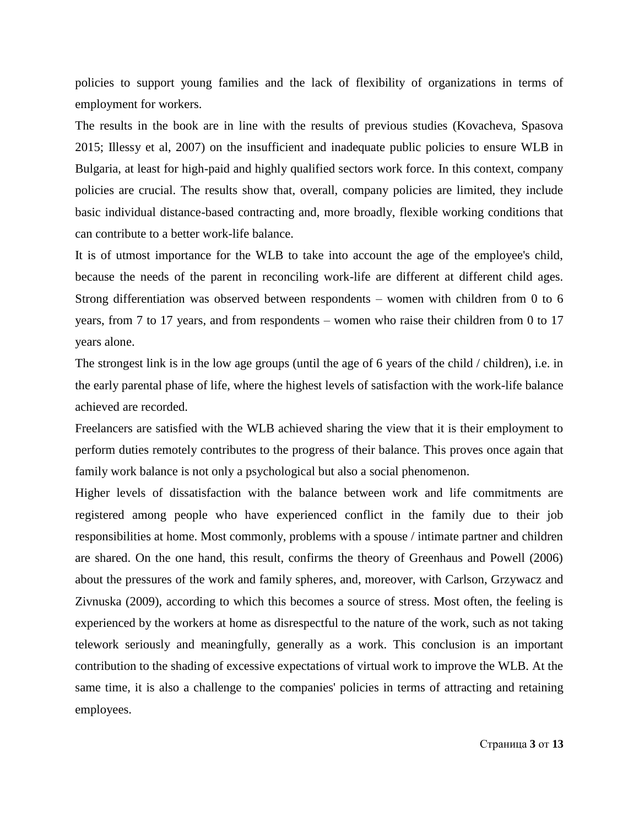policies to support young families and the lack of flexibility of organizations in terms of employment for workers.

The results in the book are in line with the results of previous studies (Kovacheva, Spasova 2015; Illessy et al, 2007) on the insufficient and inadequate public policies to ensure WLB in Bulgaria, at least for high-paid and highly qualified sectors work force. In this context, company policies are crucial. The results show that, overall, company policies are limited, they include basic individual distance-based contracting and, more broadly, flexible working conditions that can contribute to a better work-life balance.

It is of utmost importance for the WLB to take into account the age of the employee's child, because the needs of the parent in reconciling work-life are different at different child ages. Strong differentiation was observed between respondents – women with children from 0 to 6 years, from 7 to 17 years, and from respondents – women who raise their children from 0 to 17 years alone.

The strongest link is in the low age groups (until the age of 6 years of the child / children), i.e. in the early parental phase of life, where the highest levels of satisfaction with the work-life balance achieved are recorded.

Freelancers are satisfied with the WLB achieved sharing the view that it is their employment to perform duties remotely contributes to the progress of their balance. This proves once again that family work balance is not only a psychological but also a social phenomenon.

Higher levels of dissatisfaction with the balance between work and life commitments are registered among people who have experienced conflict in the family due to their job responsibilities at home. Most commonly, problems with a spouse / intimate partner and children are shared. On the one hand, this result, confirms the theory of Greenhaus and Powell (2006) about the pressures of the work and family spheres, and, moreover, with Carlson, Grzywacz and Zivnuska (2009), according to which this becomes a source of stress. Most often, the feeling is experienced by the workers at home as disrespectful to the nature of the work, such as not taking telework seriously and meaningfully, generally as a work. This conclusion is an important contribution to the shading of excessive expectations of virtual work to improve the WLB. At the same time, it is also a challenge to the companies' policies in terms of attracting and retaining employees.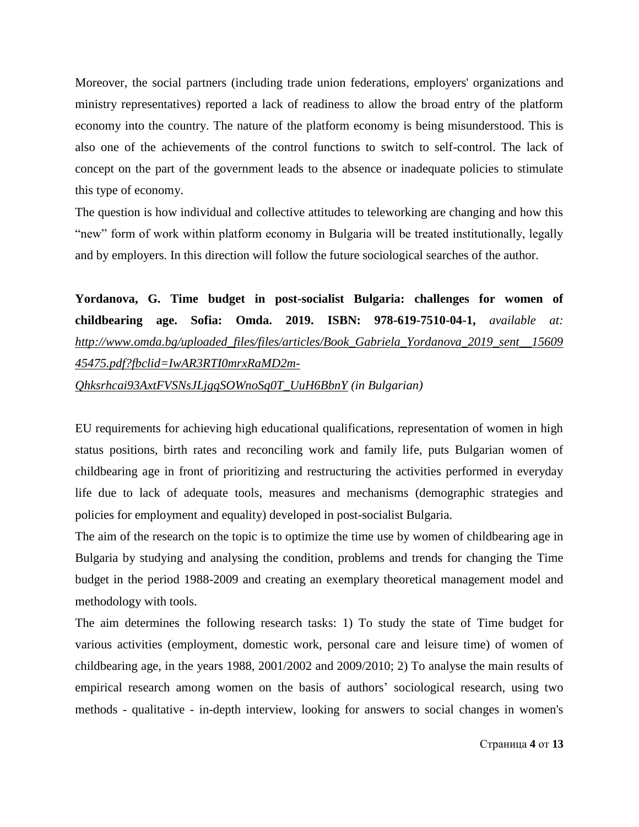Moreover, the social partners (including trade union federations, employers' organizations and ministry representatives) reported a lack of readiness to allow the broad entry of the platform economy into the country. The nature of the platform economy is being misunderstood. This is also one of the achievements of the control functions to switch to self-control. The lack of concept on the part of the government leads to the absence or inadequate policies to stimulate this type of economy.

The question is how individual and collective attitudes to teleworking are changing and how this "new" form of work within platform economy in Bulgaria will be treated institutionally, legally and by employers. In this direction will follow the future sociological searches of the author.

**Yordanova, G. Time budget in post-socialist Bulgaria: challenges for women of childbearing age. Sofia: Omda. 2019. ISBN: 978-619-7510-04-1,** *available at: [http://www.omda.bg/uploaded\\_files/files/articles/Book\\_Gabriela\\_Yordanova\\_2019\\_sent\\_\\_15609](http://www.omda.bg/uploaded_files/files/articles/Book_Gabriela_Yordanova_2019_sent__1560945475.pdf?fbclid=IwAR3RTI0mrxRaMD2m-Qhksrhcai93AxtFVSNsJLjgqSOWnoSq0T_UuH6BbnY) [45475.pdf?fbclid=IwAR3RTI0mrxRaMD2m-](http://www.omda.bg/uploaded_files/files/articles/Book_Gabriela_Yordanova_2019_sent__1560945475.pdf?fbclid=IwAR3RTI0mrxRaMD2m-Qhksrhcai93AxtFVSNsJLjgqSOWnoSq0T_UuH6BbnY)[Qhksrhcai93AxtFVSNsJLjgqSOWnoSq0T\\_UuH6BbnY](http://www.omda.bg/uploaded_files/files/articles/Book_Gabriela_Yordanova_2019_sent__1560945475.pdf?fbclid=IwAR3RTI0mrxRaMD2m-Qhksrhcai93AxtFVSNsJLjgqSOWnoSq0T_UuH6BbnY) (in Bulgarian)*

EU requirements for achieving high educational qualifications, representation of women in high status positions, birth rates and reconciling work and family life, puts Bulgarian women of childbearing age in front of prioritizing and restructuring the activities performed in everyday life due to lack of adequate tools, measures and mechanisms (demographic strategies and policies for employment and equality) developed in post-socialist Bulgaria.

The aim of the research on the topic is to optimize the time use by women of childbearing age in Bulgaria by studying and analysing the condition, problems and trends for changing the Time budget in the period 1988-2009 and creating an exemplary theoretical management model and methodology with tools.

The aim determines the following research tasks: 1) To study the state of Time budget for various activities (employment, domestic work, personal care and leisure time) of women of childbearing age, in the years 1988, 2001/2002 and 2009/2010; 2) To analyse the main results of empirical research among women on the basis of authors" sociological research, using two methods - qualitative - in-depth interview, looking for answers to social changes in women's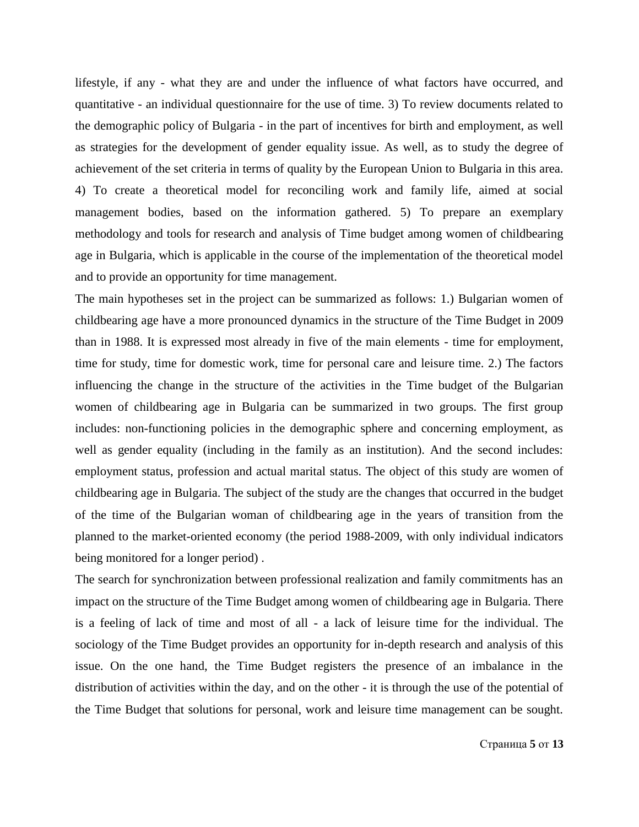lifestyle, if any - what they are and under the influence of what factors have occurred, and quantitative - an individual questionnaire for the use of time. 3) To review documents related to the demographic policy of Bulgaria - in the part of incentives for birth and employment, as well as strategies for the development of gender equality issue. As well, as to study the degree of achievement of the set criteria in terms of quality by the European Union to Bulgaria in this area. 4) To create a theoretical model for reconciling work and family life, aimed at social management bodies, based on the information gathered. 5) To prepare an exemplary methodology and tools for research and analysis of Time budget among women of childbearing age in Bulgaria, which is applicable in the course of the implementation of the theoretical model and to provide an opportunity for time management.

The main hypotheses set in the project can be summarized as follows: 1.) Bulgarian women of childbearing age have a more pronounced dynamics in the structure of the Time Budget in 2009 than in 1988. It is expressed most already in five of the main elements - time for employment, time for study, time for domestic work, time for personal care and leisure time. 2.) The factors influencing the change in the structure of the activities in the Time budget of the Bulgarian women of childbearing age in Bulgaria can be summarized in two groups. The first group includes: non-functioning policies in the demographic sphere and concerning employment, as well as gender equality (including in the family as an institution). And the second includes: employment status, profession and actual marital status. The object of this study are women of childbearing age in Bulgaria. The subject of the study are the changes that occurred in the budget of the time of the Bulgarian woman of childbearing age in the years of transition from the planned to the market-oriented economy (the period 1988-2009, with only individual indicators being monitored for a longer period) .

The search for synchronization between professional realization and family commitments has an impact on the structure of the Time Budget among women of childbearing age in Bulgaria. There is a feeling of lack of time and most of all - a lack of leisure time for the individual. The sociology of the Time Budget provides an opportunity for in-depth research and analysis of this issue. On the one hand, the Time Budget registers the presence of an imbalance in the distribution of activities within the day, and on the other - it is through the use of the potential of the Time Budget that solutions for personal, work and leisure time management can be sought.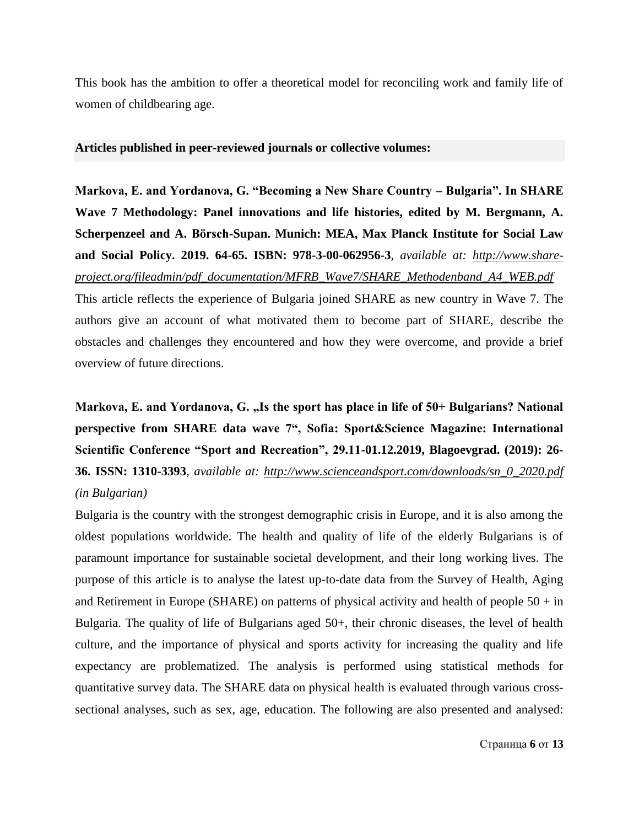This book has the ambition to offer a theoretical model for reconciling work and family life of women of childbearing age.

#### **Articles published in peer-reviewed journals or collective volumes:**

**Markova, E. and Yordanova, G. "Becoming a New Share Country – Bulgaria". In SHARE Wave 7 Methodology: Panel innovations and life histories, edited by M. Bergmann, A. Scherpenzeel and A. Börsch-Supan. Munich: MEA, Max Planck Institute for Social Law and Social Policy. 2019. 64-65. ISBN: 978-3-00-062956-3**, *available at: [http://www.share](http://www.share-project.org/fileadmin/pdf_documentation/MFRB_Wave7/SHARE_Methodenband_A4_WEB.pdf)[project.org/fileadmin/pdf\\_documentation/MFRB\\_Wave7/SHARE\\_Methodenband\\_A4\\_WEB.pdf](http://www.share-project.org/fileadmin/pdf_documentation/MFRB_Wave7/SHARE_Methodenband_A4_WEB.pdf)*

This article reflects the experience of Bulgaria joined SHARE as new country in Wave 7. The authors give an account of what motivated them to become part of SHARE, describe the obstacles and challenges they encountered and how they were overcome, and provide a brief overview of future directions.

Markova, E. and Yordanova, G. "Is the sport has place in life of 50+ Bulgarians? National **perspective from SHARE data wave 7", Sofia: Sport&Science Magazine: International Scientific Conference "Sport and Recreation", 29.11-01.12.2019, Blagoevgrad. (2019): 26- 36. ISSN: 1310-3393**, *available at: [http://www.scienceandsport.com/downloads/sn\\_0\\_2020.pdf](http://www.scienceandsport.com/downloads/sn_0_2020.pdf) (in Bulgarian)*

Bulgaria is the country with the strongest demographic crisis in Europe, and it is also among the oldest populations worldwide. The health and quality of life of the elderly Bulgarians is of paramount importance for sustainable societal development, and their long working lives. The purpose of this article is to analyse the latest up-to-date data from the Survey of Health, Aging and Retirement in Europe (SHARE) on patterns of physical activity and health of people  $50 + in$ Bulgaria. The quality of life of Bulgarians aged 50+, their chronic diseases, the level of health culture, and the importance of physical and sports activity for increasing the quality and life expectancy are problematized. The analysis is performed using statistical methods for quantitative survey data. The SHARE data on physical health is evaluated through various crosssectional analyses, such as sex, age, education. The following are also presented and analysed: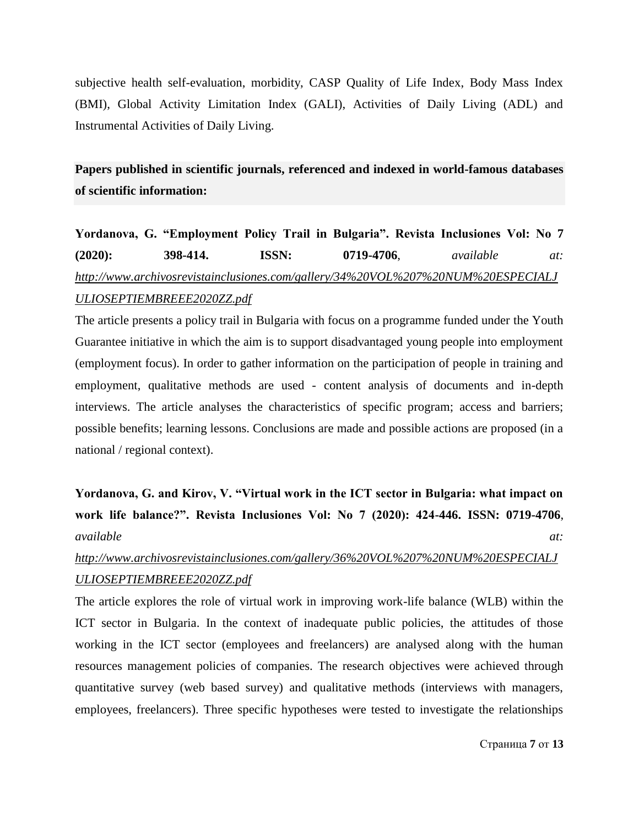subjective health self-evaluation, morbidity, CASP Quality of Life Index, Body Mass Index (BMI), Global Activity Limitation Index (GALI), Activities of Daily Living (ADL) and Instrumental Activities of Daily Living.

**Papers published in scientific journals, referenced and indexed in world-famous databases of scientific information:**

# **Yordanova, G. "Employment Policy Trail in Bulgaria". Revista Inclusiones Vol: No 7 (2020): 398-414. ISSN: 0719-4706**, *available at: [http://www.archivosrevistainclusiones.com/gallery/34%20VOL%207%20NUM%20ESPECIALJ](http://www.archivosrevistainclusiones.com/gallery/34%20VOL%207%20NUM%20ESPECIALJULIOSEPTIEMBREEE2020ZZ.pdf) [ULIOSEPTIEMBREEE2020ZZ.pdf](http://www.archivosrevistainclusiones.com/gallery/34%20VOL%207%20NUM%20ESPECIALJULIOSEPTIEMBREEE2020ZZ.pdf)*

The article presents a policy trail in Bulgaria with focus on a programme funded under the Youth Guarantee initiative in which the aim is to support disadvantaged young people into employment (employment focus). In order to gather information on the participation of people in training and employment, qualitative methods are used - content analysis of documents and in-depth interviews. The article analyses the characteristics of specific program; access and barriers; possible benefits; learning lessons. Conclusions are made and possible actions are proposed (in a national / regional context).

**Yordanova, G. and Kirov, V. "Virtual work in the ICT sector in Bulgaria: what impact on work life balance?". Revista Inclusiones Vol: No 7 (2020): 424-446. ISSN: 0719-4706**, *available at:*

## *[http://www.archivosrevistainclusiones.com/gallery/36%20VOL%207%20NUM%20ESPECIALJ](http://www.archivosrevistainclusiones.com/gallery/36%20VOL%207%20NUM%20ESPECIALJULIOSEPTIEMBREEE2020ZZ.pdf) [ULIOSEPTIEMBREEE2020ZZ.pdf](http://www.archivosrevistainclusiones.com/gallery/36%20VOL%207%20NUM%20ESPECIALJULIOSEPTIEMBREEE2020ZZ.pdf)*

The article explores the role of virtual work in improving work-life balance (WLB) within the ICT sector in Bulgaria. In the context of inadequate public policies, the attitudes of those working in the ICT sector (employees and freelancers) are analysed along with the human resources management policies of companies. The research objectives were achieved through quantitative survey (web based survey) and qualitative methods (interviews with managers, employees, freelancers). Three specific hypotheses were tested to investigate the relationships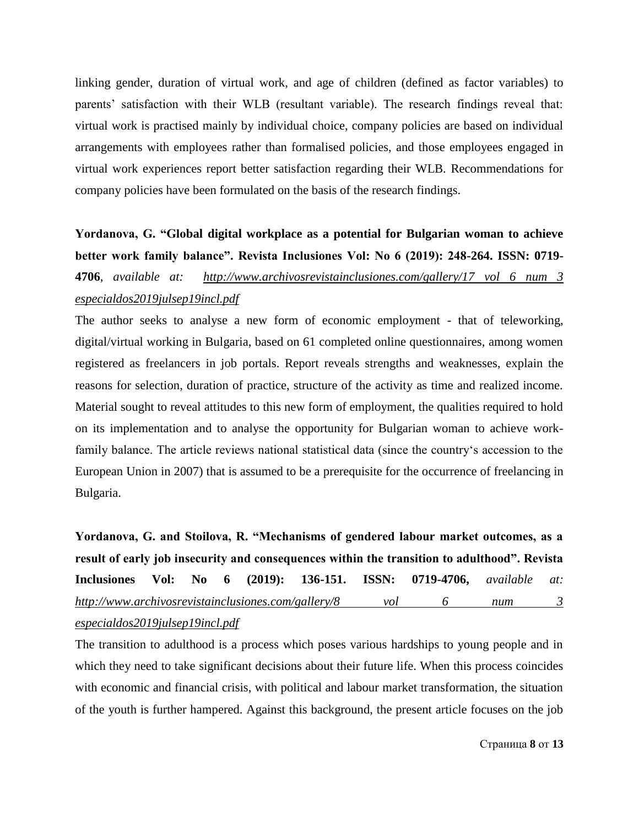linking gender, duration of virtual work, and age of children (defined as factor variables) to parents" satisfaction with their WLB (resultant variable). The research findings reveal that: virtual work is practised mainly by individual choice, company policies are based on individual arrangements with employees rather than formalised policies, and those employees engaged in virtual work experiences report better satisfaction regarding their WLB. Recommendations for company policies have been formulated on the basis of the research findings.

**Yordanova, G. "Global digital workplace as a potential for Bulgarian woman to achieve better work family balance". Revista Inclusiones Vol: No 6 (2019): 248-264. ISSN: 0719- 4706**, *available at: http://www.archivosrevistainclusiones.com/gallery/17 vol 6 num 3 especialdos2019julsep19incl.pdf*

The author seeks to analyse a new form of economic employment - that of teleworking, digital/virtual working in Bulgaria, based on 61 completed online questionnaires, among women registered as freelancers in job portals. Report reveals strengths and weaknesses, explain the reasons for selection, duration of practice, structure of the activity as time and realized income. Material sought to reveal attitudes to this new form of employment, the qualities required to hold on its implementation and to analyse the opportunity for Bulgarian woman to achieve workfamily balance. The article reviews national statistical data (since the country's accession to the European Union in 2007) that is assumed to be a prerequisite for the occurrence of freelancing in Bulgaria.

**Yordanova, G. and Stoilova, R. "Mechanisms of gendered labour market outcomes, as a result of early job insecurity and consequences within the transition to adulthood". Revista Inclusiones Vol: No 6 (2019): 136-151. ISSN: 0719-4706,** *available at: http://www.archivosrevistainclusiones.com/gallery/8 vol 6 num 3 especialdos2019julsep19incl.pdf*

The transition to adulthood is a process which poses various hardships to young people and in which they need to take significant decisions about their future life. When this process coincides with economic and financial crisis, with political and labour market transformation, the situation of the youth is further hampered. Against this background, the present article focuses on the job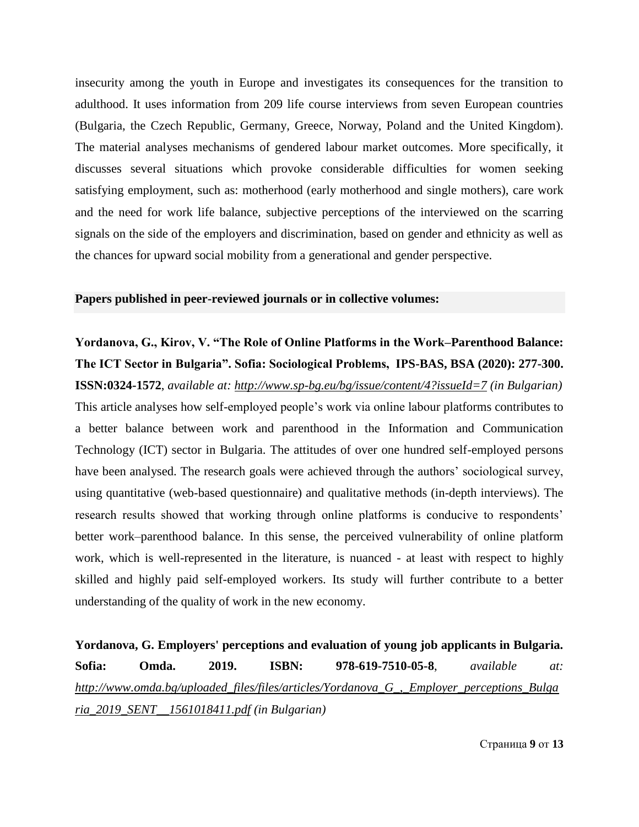insecurity among the youth in Europe and investigates its consequences for the transition to adulthood. It uses information from 209 life course interviews from seven European countries (Bulgaria, the Czech Republic, Germany, Greece, Norway, Poland and the United Kingdom). The material analyses mechanisms of gendered labour market outcomes. More specifically, it discusses several situations which provoke considerable difficulties for women seeking satisfying employment, such as: motherhood (early motherhood and single mothers), care work and the need for work life balance, subjective perceptions of the interviewed on the scarring signals on the side of the employers and discrimination, based on gender and ethnicity as well as the chances for upward social mobility from a generational and gender perspective.

### **Papers published in peer-reviewed journals or in collective volumes:**

**Yordanova, G., Kirov, V. "The Role of Online Platforms in the Work–Parenthood Balance: The ICT Sector in Bulgaria". Sofia: Sociological Problems, IPS-BAS, BSA (2020): 277-300. ISSN:0324-1572**, *available at:<http://www.sp-bg.eu/bg/issue/content/4?issueId=7> (in Bulgarian)* This article analyses how self-employed people"s work via online labour platforms contributes to a better balance between work and parenthood in the Information and Communication Technology (ICT) sector in Bulgaria. The attitudes of over one hundred self-employed persons have been analysed. The research goals were achieved through the authors' sociological survey, using quantitative (web-based questionnaire) and qualitative methods (in-depth interviews). The research results showed that working through online platforms is conducive to respondents' better work–parenthood balance. In this sense, the perceived vulnerability of online platform work, which is well-represented in the literature, is nuanced - at least with respect to highly skilled and highly paid self-employed workers. Its study will further contribute to a better understanding of the quality of work in the new economy.

**Yordanova, G. Employers' perceptions and evaluation of young job applicants in Bulgaria. Sofia: Omda. 2019. ISBN: 978-619-7510-05-8**, *available at: [http://www.omda.bg/uploaded\\_files/files/articles/Yordanova\\_G\\_,\\_Employer\\_perceptions\\_Bulga](http://www.omda.bg/uploaded_files/files/articles/Yordanova_G_,_Employer_perceptions_Bulgaria_2019_SENT__1561018411.pdf) [ria\\_2019\\_SENT\\_\\_1561018411.pdf](http://www.omda.bg/uploaded_files/files/articles/Yordanova_G_,_Employer_perceptions_Bulgaria_2019_SENT__1561018411.pdf) (in Bulgarian)*

Страница **9** от **13**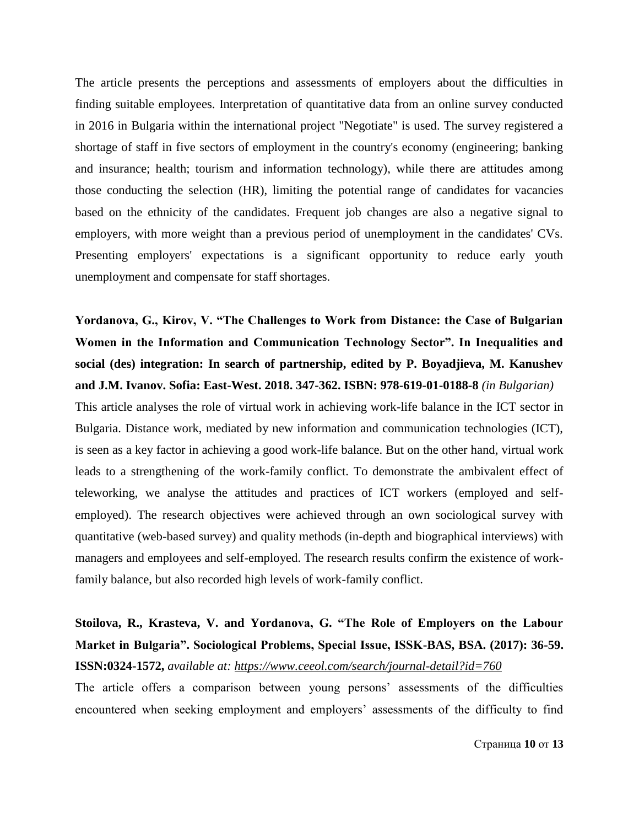The article presents the perceptions and assessments of employers about the difficulties in finding suitable employees. Interpretation of quantitative data from an online survey conducted in 2016 in Bulgaria within the international project "Negotiate" is used. The survey registered a shortage of staff in five sectors of employment in the country's economy (engineering; banking and insurance; health; tourism and information technology), while there are attitudes among those conducting the selection (HR), limiting the potential range of candidates for vacancies based on the ethnicity of the candidates. Frequent job changes are also a negative signal to employers, with more weight than a previous period of unemployment in the candidates' CVs. Presenting employers' expectations is a significant opportunity to reduce early youth unemployment and compensate for staff shortages.

## **Yordanova, G., Kirov, V. "The Challenges to Work from Distance: the Case of Bulgarian Women in the Information and Communication Technology Sector". In Inequalities and social (des) integration: In search of partnership, edited by P. Boyadjieva, M. Kanushev and J.M. Ivanov. Sofia: East-West. 2018. 347-362. ISBN: 978-619-01-0188-8** *(in Bulgarian)*

This article analyses the role of virtual work in achieving work-life balance in the ICT sector in Bulgaria. Distance work, mediated by new information and communication technologies (ICT), is seen as a key factor in achieving a good work-life balance. But on the other hand, virtual work leads to a strengthening of the work-family conflict. To demonstrate the ambivalent effect of teleworking, we analyse the attitudes and practices of ICT workers (employed and selfemployed). The research objectives were achieved through an own sociological survey with quantitative (web-based survey) and quality methods (in-depth and biographical interviews) with managers and employees and self-employed. The research results confirm the existence of workfamily balance, but also recorded high levels of work-family conflict.

## **Stoilova, R., Krasteva, V. and Yordanova, G. "The Role of Employers on the Labour Market in Bulgaria". Sociological Problems, Special Issue, ISSK-BAS, BSA. (2017): 36-59. ISSN:0324-1572,** *available at: <https://www.ceeol.com/search/journal-detail?id=760>*

The article offers a comparison between young persons' assessments of the difficulties encountered when seeking employment and employers' assessments of the difficulty to find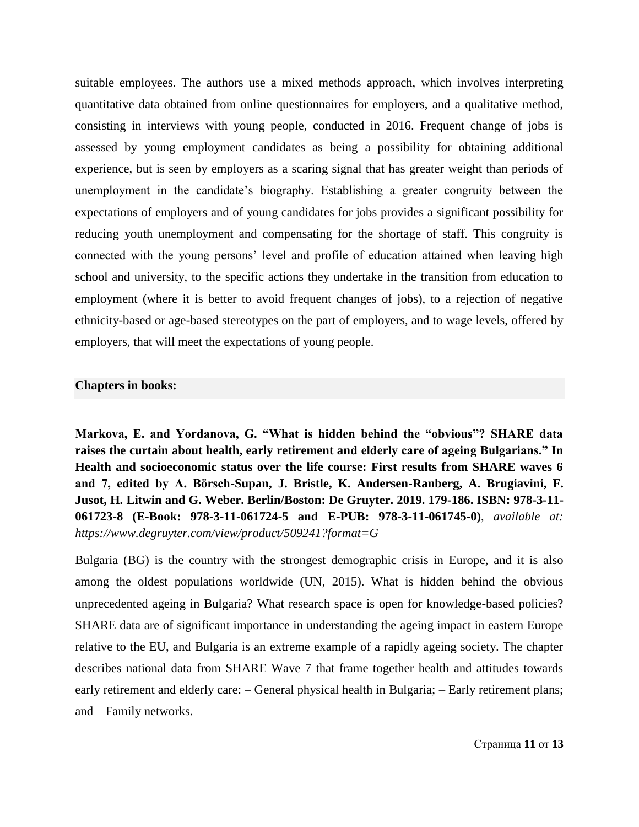suitable employees. The authors use a mixed methods approach, which involves interpreting quantitative data obtained from online questionnaires for employers, and a qualitative method, consisting in interviews with young people, conducted in 2016. Frequent change of jobs is assessed by young employment candidates as being a possibility for obtaining additional experience, but is seen by employers as a scaring signal that has greater weight than periods of unemployment in the candidate"s biography. Establishing a greater congruity between the expectations of employers and of young candidates for jobs provides a significant possibility for reducing youth unemployment and compensating for the shortage of staff. This congruity is connected with the young persons' level and profile of education attained when leaving high school and university, to the specific actions they undertake in the transition from education to employment (where it is better to avoid frequent changes of jobs), to a rejection of negative ethnicity-based or age-based stereotypes on the part of employers, and to wage levels, offered by employers, that will meet the expectations of young people.

### **Chapters in books:**

**Markova, E. and Yordanova, G. "What is hidden behind the "obvious"? SHARE data raises the curtain about health, early retirement and elderly care of ageing Bulgarians." In Health and socioeconomic status over the life course: First results from SHARE waves 6 and 7, edited by A. Börsch-Supan, J. Bristle, K. Andersen-Ranberg, A. Brugiavini, F. Jusot, H. Litwin and G. Weber. Berlin/Boston: De Gruyter. 2019. 179-186. ISBN: 978-3-11- 061723-8 (E-Book: 978-3-11-061724-5 and E-PUB: 978-3-11-061745-0)**, *available at: https://www.degruyter.com/view/product/509241?format=G*

Bulgaria (BG) is the country with the strongest demographic crisis in Europe, and it is also among the oldest populations worldwide (UN, 2015). What is hidden behind the obvious unprecedented ageing in Bulgaria? What research space is open for knowledge-based policies? SHARE data are of significant importance in understanding the ageing impact in eastern Europe relative to the EU, and Bulgaria is an extreme example of a rapidly ageing society. The chapter describes national data from SHARE Wave 7 that frame together health and attitudes towards early retirement and elderly care: – General physical health in Bulgaria; – Early retirement plans; and – Family networks.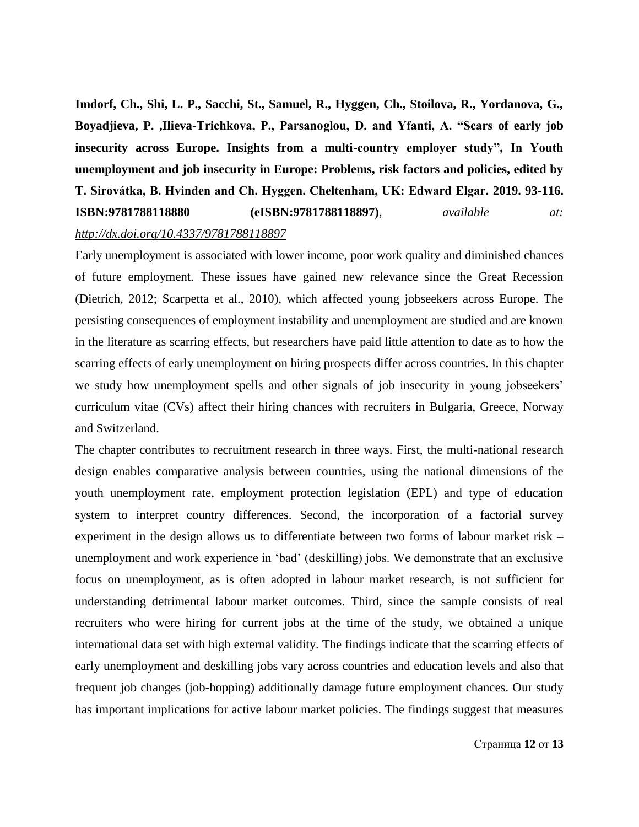**Imdorf, Ch., Shi, L. P., Sacchi, St., Samuel, R., Hyggen, Ch., Stoilova, R., Yordanova, G., Boyadjieva, P. ,Ilieva-Trichkova, P., Parsanoglou, D. and Yfanti, A. "Scars of early job insecurity across Europe. Insights from a multi-country employer study", In Youth unemployment and job insecurity in Europe: Problems, risk factors and policies, edited by T. Sirovátka, B. Hvinden and Ch. Hyggen. Cheltenham, UK: Edward Elgar. 2019. 93-116. ISBN:9781788118880 (eISBN:9781788118897)**, *available at: <http://dx.doi.org/10.4337/9781788118897>*

Early unemployment is associated with lower income, poor work quality and diminished chances of future employment. These issues have gained new relevance since the Great Recession (Dietrich, 2012; Scarpetta et al., 2010), which affected young jobseekers across Europe. The persisting consequences of employment instability and unemployment are studied and are known in the literature as scarring effects, but researchers have paid little attention to date as to how the scarring effects of early unemployment on hiring prospects differ across countries. In this chapter we study how unemployment spells and other signals of job insecurity in young jobseekers' curriculum vitae (CVs) affect their hiring chances with recruiters in Bulgaria, Greece, Norway and Switzerland.

The chapter contributes to recruitment research in three ways. First, the multi-national research design enables comparative analysis between countries, using the national dimensions of the youth unemployment rate, employment protection legislation (EPL) and type of education system to interpret country differences. Second, the incorporation of a factorial survey experiment in the design allows us to differentiate between two forms of labour market risk – unemployment and work experience in "bad" (deskilling) jobs. We demonstrate that an exclusive focus on unemployment, as is often adopted in labour market research, is not sufficient for understanding detrimental labour market outcomes. Third, since the sample consists of real recruiters who were hiring for current jobs at the time of the study, we obtained a unique international data set with high external validity. The findings indicate that the scarring effects of early unemployment and deskilling jobs vary across countries and education levels and also that frequent job changes (job-hopping) additionally damage future employment chances. Our study has important implications for active labour market policies. The findings suggest that measures